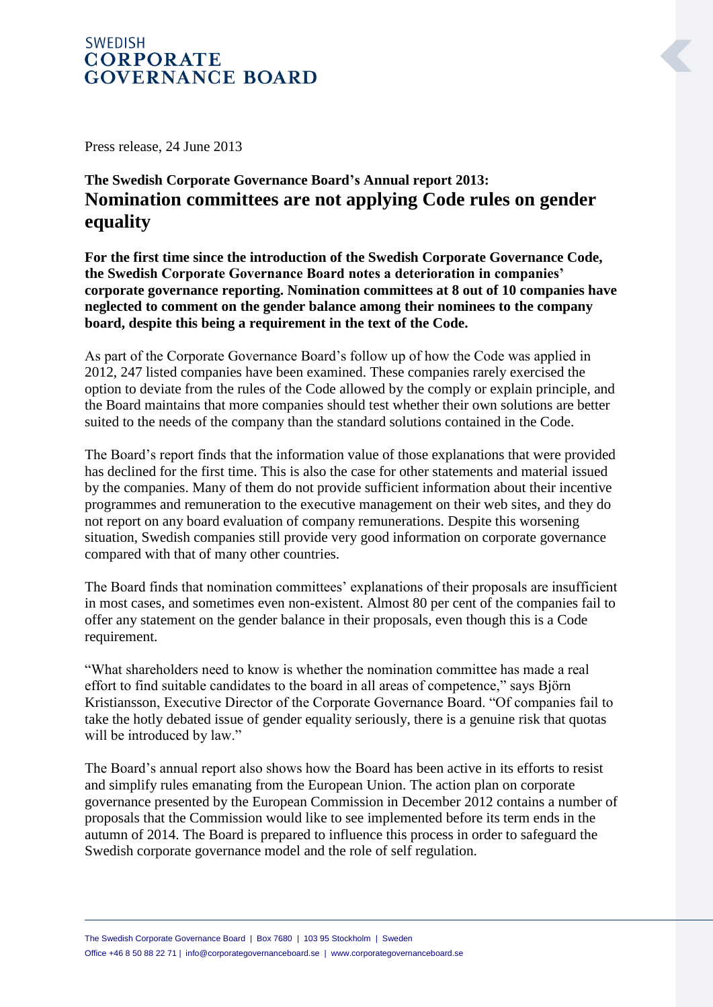## **SWEDISH CORPORATE GOVERNANCE BOARD**

Press release, 24 June 2013

## **The Swedish Corporate Governance Board's Annual report 2013: Nomination committees are not applying Code rules on gender equality**

**For the first time since the introduction of the Swedish Corporate Governance Code, the Swedish Corporate Governance Board notes a deterioration in companies' corporate governance reporting. Nomination committees at 8 out of 10 companies have neglected to comment on the gender balance among their nominees to the company board, despite this being a requirement in the text of the Code.**

As part of the Corporate Governance Board's follow up of how the Code was applied in 2012, 247 listed companies have been examined. These companies rarely exercised the option to deviate from the rules of the Code allowed by the comply or explain principle, and the Board maintains that more companies should test whether their own solutions are better suited to the needs of the company than the standard solutions contained in the Code.

The Board's report finds that the information value of those explanations that were provided has declined for the first time. This is also the case for other statements and material issued by the companies. Many of them do not provide sufficient information about their incentive programmes and remuneration to the executive management on their web sites, and they do not report on any board evaluation of company remunerations. Despite this worsening situation, Swedish companies still provide very good information on corporate governance compared with that of many other countries.

The Board finds that nomination committees' explanations of their proposals are insufficient in most cases, and sometimes even non-existent. Almost 80 per cent of the companies fail to offer any statement on the gender balance in their proposals, even though this is a Code requirement.

"What shareholders need to know is whether the nomination committee has made a real effort to find suitable candidates to the board in all areas of competence," says Björn Kristiansson, Executive Director of the Corporate Governance Board. "Of companies fail to take the hotly debated issue of gender equality seriously, there is a genuine risk that quotas will be introduced by law."

The Board's annual report also shows how the Board has been active in its efforts to resist and simplify rules emanating from the European Union. The action plan on corporate governance presented by the European Commission in December 2012 contains a number of proposals that the Commission would like to see implemented before its term ends in the autumn of 2014. The Board is prepared to influence this process in order to safeguard the Swedish corporate governance model and the role of self regulation.